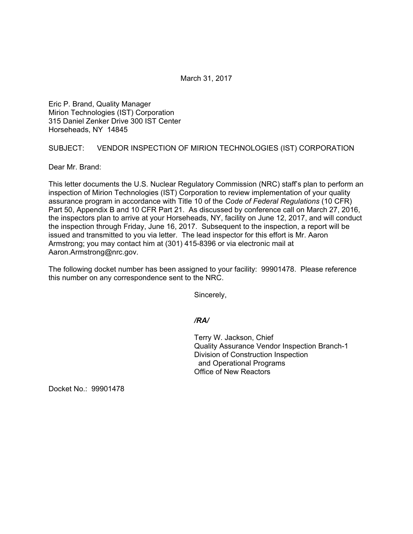March 31, 2017

Eric P. Brand, Quality Manager Mirion Technologies (IST) Corporation 315 Daniel Zenker Drive 300 IST Center Horseheads, NY 14845

## SUBJECT: VENDOR INSPECTION OF MIRION TECHNOLOGIES (IST) CORPORATION

Dear Mr. Brand:

This letter documents the U.S. Nuclear Regulatory Commission (NRC) staff's plan to perform an inspection of Mirion Technologies (IST) Corporation to review implementation of your quality assurance program in accordance with Title 10 of the *Code of Federal Regulations* (10 CFR) Part 50, Appendix B and 10 CFR Part 21. As discussed by conference call on March 27, 2016, the inspectors plan to arrive at your Horseheads, NY, facility on June 12, 2017, and will conduct the inspection through Friday, June 16, 2017. Subsequent to the inspection, a report will be issued and transmitted to you via letter. The lead inspector for this effort is Mr. Aaron Armstrong; you may contact him at (301) 415-8396 or via electronic mail at Aaron.Armstrong@nrc.gov.

The following docket number has been assigned to your facility: 99901478. Please reference this number on any correspondence sent to the NRC.

Sincerely,

## */RA/*

Terry W. Jackson, Chief Quality Assurance Vendor Inspection Branch-1 Division of Construction Inspection and Operational Programs Office of New Reactors

Docket No.: 99901478